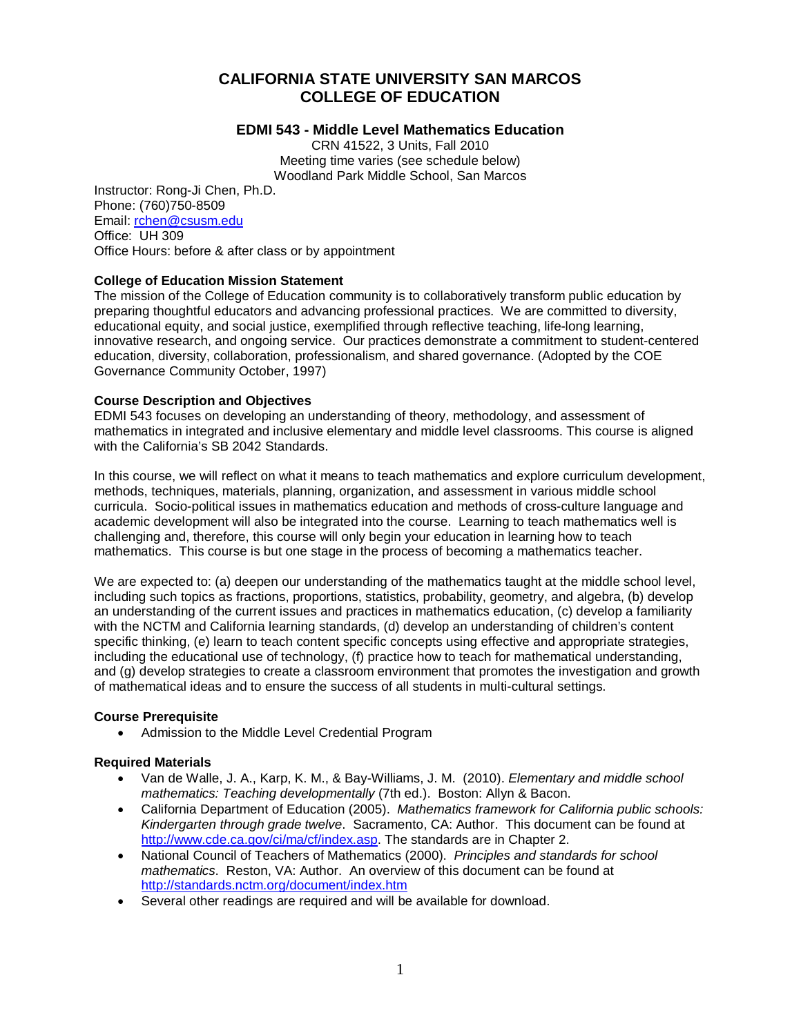# **CALIFORNIA STATE UNIVERSITY SAN MARCOS COLLEGE OF EDUCATION**

# **EDMI 543 - Middle Level Mathematics Education**

CRN 41522, 3 Units, Fall 2010 Meeting time varies (see schedule below) Woodland Park Middle School, San Marcos

Instructor: Rong-Ji Chen, Ph.D. Phone: (760)750-8509 Email: [rchen@csusm.edu](mailto:rchen@csusm.edu) Office: UH 309 Office Hours: before & after class or by appointment

# **College of Education Mission Statement**

The mission of the College of Education community is to collaboratively transform public education by preparing thoughtful educators and advancing professional practices. We are committed to diversity, educational equity, and social justice, exemplified through reflective teaching, life-long learning, innovative research, and ongoing service. Our practices demonstrate a commitment to student-centered education, diversity, collaboration, professionalism, and shared governance. (Adopted by the COE Governance Community October, 1997)

# **Course Description and Objectives**

EDMI 543 focuses on developing an understanding of theory, methodology, and assessment of mathematics in integrated and inclusive elementary and middle level classrooms. This course is aligned with the California's SB 2042 Standards.

In this course, we will reflect on what it means to teach mathematics and explore curriculum development, methods, techniques, materials, planning, organization, and assessment in various middle school curricula. Socio-political issues in mathematics education and methods of cross-culture language and academic development will also be integrated into the course. Learning to teach mathematics well is challenging and, therefore, this course will only begin your education in learning how to teach mathematics. This course is but one stage in the process of becoming a mathematics teacher.

We are expected to: (a) deepen our understanding of the mathematics taught at the middle school level, including such topics as fractions, proportions, statistics, probability, geometry, and algebra, (b) develop an understanding of the current issues and practices in mathematics education, (c) develop a familiarity with the NCTM and California learning standards, (d) develop an understanding of children's content specific thinking, (e) learn to teach content specific concepts using effective and appropriate strategies, including the educational use of technology, (f) practice how to teach for mathematical understanding, and (g) develop strategies to create a classroom environment that promotes the investigation and growth of mathematical ideas and to ensure the success of all students in multi-cultural settings.

#### **Course Prerequisite**

• Admission to the Middle Level Credential Program

#### **Required Materials**

- Van de Walle, J. A., Karp, K. M., & Bay-Williams, J. M. (2010). *Elementary and middle school mathematics: Teaching developmentally* (7th ed.). Boston: Allyn & Bacon.
- California Department of Education (2005). *Mathematics framework for California public schools: Kindergarten through grade twelve*. Sacramento, CA: Author. This document can be found at [http://www.cde.ca.gov/ci/ma/cf/index.asp.](http://www.cde.ca.gov/ci/ma/cf/index.asp) The standards are in Chapter 2.
- National Council of Teachers of Mathematics (2000). *Principles and standards for school mathematics*. Reston, VA: Author. An overview of this document can be found at <http://standards.nctm.org/document/index.htm>
- Several other readings are required and will be available for download.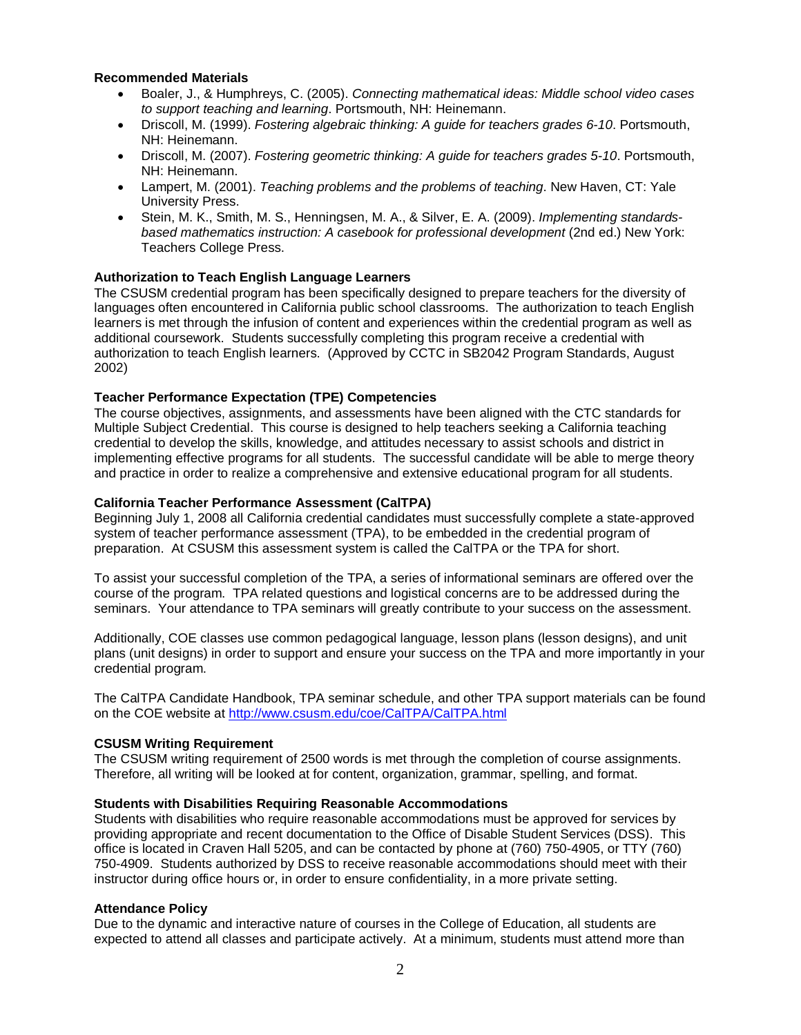#### **Recommended Materials**

- Boaler, J., & Humphreys, C. (2005). *Connecting mathematical ideas: Middle school video cases to support teaching and learning*. Portsmouth, NH: Heinemann.
- Driscoll, M. (1999). *Fostering algebraic thinking: A guide for teachers grades 6-10*. Portsmouth, NH: Heinemann.
- Driscoll, M. (2007). *Fostering geometric thinking: A guide for teachers grades 5-10*. Portsmouth, NH: Heinemann.
- Lampert, M. (2001). *Teaching problems and the problems of teaching*. New Haven, CT: Yale University Press.
- Stein, M. K., Smith, M. S., Henningsen, M. A., & Silver, E. A. (2009). *Implementing standardsbased mathematics instruction: A casebook for professional development* (2nd ed.) New York: Teachers College Press.

# **Authorization to Teach English Language Learners**

The CSUSM credential program has been specifically designed to prepare teachers for the diversity of languages often encountered in California public school classrooms. The authorization to teach English learners is met through the infusion of content and experiences within the credential program as well as additional coursework. Students successfully completing this program receive a credential with authorization to teach English learners. (Approved by CCTC in SB2042 Program Standards, August 2002)

# **Teacher Performance Expectation (TPE) Competencies**

The course objectives, assignments, and assessments have been aligned with the CTC standards for Multiple Subject Credential. This course is designed to help teachers seeking a California teaching credential to develop the skills, knowledge, and attitudes necessary to assist schools and district in implementing effective programs for all students. The successful candidate will be able to merge theory and practice in order to realize a comprehensive and extensive educational program for all students.

#### **California Teacher Performance Assessment (CalTPA)**

Beginning July 1, 2008 all California credential candidates must successfully complete a state-approved system of teacher performance assessment (TPA), to be embedded in the credential program of preparation. At CSUSM this assessment system is called the CalTPA or the TPA for short.

To assist your successful completion of the TPA, a series of informational seminars are offered over the course of the program. TPA related questions and logistical concerns are to be addressed during the seminars. Your attendance to TPA seminars will greatly contribute to your success on the assessment.

Additionally, COE classes use common pedagogical language, lesson plans (lesson designs), and unit plans (unit designs) in order to support and ensure your success on the TPA and more importantly in your credential program.

The CalTPA Candidate Handbook, TPA seminar schedule, and other TPA support materials can be found on the COE website at<http://www.csusm.edu/coe/CalTPA/CalTPA.html>

#### **CSUSM Writing Requirement**

The CSUSM writing requirement of 2500 words is met through the completion of course assignments. Therefore, all writing will be looked at for content, organization, grammar, spelling, and format.

#### **Students with Disabilities Requiring Reasonable Accommodations**

Students with disabilities who require reasonable accommodations must be approved for services by providing appropriate and recent documentation to the Office of Disable Student Services (DSS). This office is located in Craven Hall 5205, and can be contacted by phone at (760) 750-4905, or TTY (760) 750-4909. Students authorized by DSS to receive reasonable accommodations should meet with their instructor during office hours or, in order to ensure confidentiality, in a more private setting.

# **Attendance Policy**

Due to the dynamic and interactive nature of courses in the College of Education, all students are expected to attend all classes and participate actively. At a minimum, students must attend more than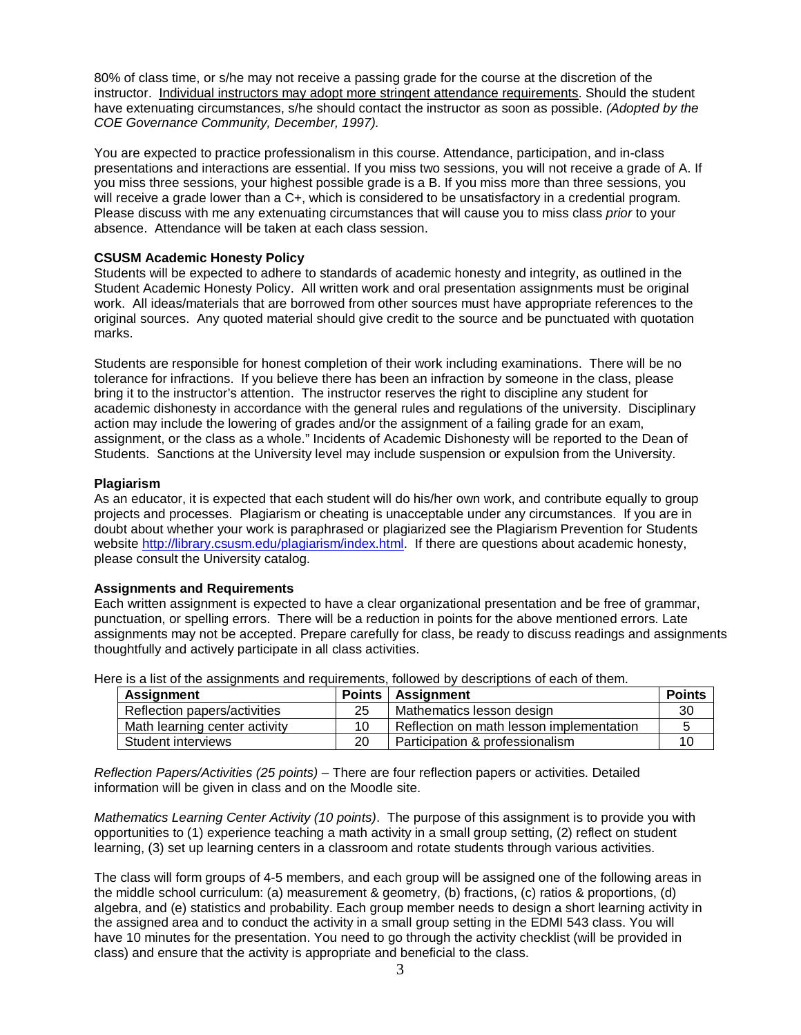80% of class time, or s/he may not receive a passing grade for the course at the discretion of the instructor. Individual instructors may adopt more stringent attendance requirements. Should the student have extenuating circumstances, s/he should contact the instructor as soon as possible. *(Adopted by the COE Governance Community, December, 1997).*

You are expected to practice professionalism in this course. Attendance, participation, and in-class presentations and interactions are essential. If you miss two sessions, you will not receive a grade of A. If you miss three sessions, your highest possible grade is a B. If you miss more than three sessions, you will receive a grade lower than a C+, which is considered to be unsatisfactory in a credential program. Please discuss with me any extenuating circumstances that will cause you to miss class *prior* to your absence. Attendance will be taken at each class session.

# **CSUSM Academic Honesty Policy**

Students will be expected to adhere to standards of academic honesty and integrity, as outlined in the Student Academic Honesty Policy. All written work and oral presentation assignments must be original work. All ideas/materials that are borrowed from other sources must have appropriate references to the original sources. Any quoted material should give credit to the source and be punctuated with quotation marks.

Students are responsible for honest completion of their work including examinations. There will be no tolerance for infractions. If you believe there has been an infraction by someone in the class, please bring it to the instructor's attention. The instructor reserves the right to discipline any student for academic dishonesty in accordance with the general rules and regulations of the university. Disciplinary action may include the lowering of grades and/or the assignment of a failing grade for an exam, assignment, or the class as a whole." Incidents of Academic Dishonesty will be reported to the Dean of Students. Sanctions at the University level may include suspension or expulsion from the University.

# **Plagiarism**

As an educator, it is expected that each student will do his/her own work, and contribute equally to group projects and processes. Plagiarism or cheating is unacceptable under any circumstances. If you are in doubt about whether your work is paraphrased or plagiarized see the Plagiarism Prevention for Students website [http://library.csusm.edu/plagiarism/index.html.](http://library.csusm.edu/plagiarism/index.html) If there are questions about academic honesty, please consult the University catalog.

# **Assignments and Requirements**

Each written assignment is expected to have a clear organizational presentation and be free of grammar, punctuation, or spelling errors. There will be a reduction in points for the above mentioned errors. Late assignments may not be accepted. Prepare carefully for class, be ready to discuss readings and assignments thoughtfully and actively participate in all class activities.

| <b>Assignment</b>             | Points | Assignment                               | <b>Points</b> |
|-------------------------------|--------|------------------------------------------|---------------|
| Reflection papers/activities  | 25     | Mathematics lesson design                | 30            |
| Math learning center activity | 10     | Reflection on math lesson implementation |               |
| Student interviews            | 20     | Participation & professionalism          |               |

Here is a list of the assignments and requirements, followed by descriptions of each of them.

*Reflection Papers/Activities (25 points)* – There are four reflection papers or activities. Detailed information will be given in class and on the Moodle site.

*Mathematics Learning Center Activity (10 points)*. The purpose of this assignment is to provide you with opportunities to (1) experience teaching a math activity in a small group setting, (2) reflect on student learning, (3) set up learning centers in a classroom and rotate students through various activities.

The class will form groups of 4-5 members, and each group will be assigned one of the following areas in the middle school curriculum: (a) measurement & geometry, (b) fractions, (c) ratios & proportions, (d) algebra, and (e) statistics and probability. Each group member needs to design a short learning activity in the assigned area and to conduct the activity in a small group setting in the EDMI 543 class. You will have 10 minutes for the presentation. You need to go through the activity checklist (will be provided in class) and ensure that the activity is appropriate and beneficial to the class.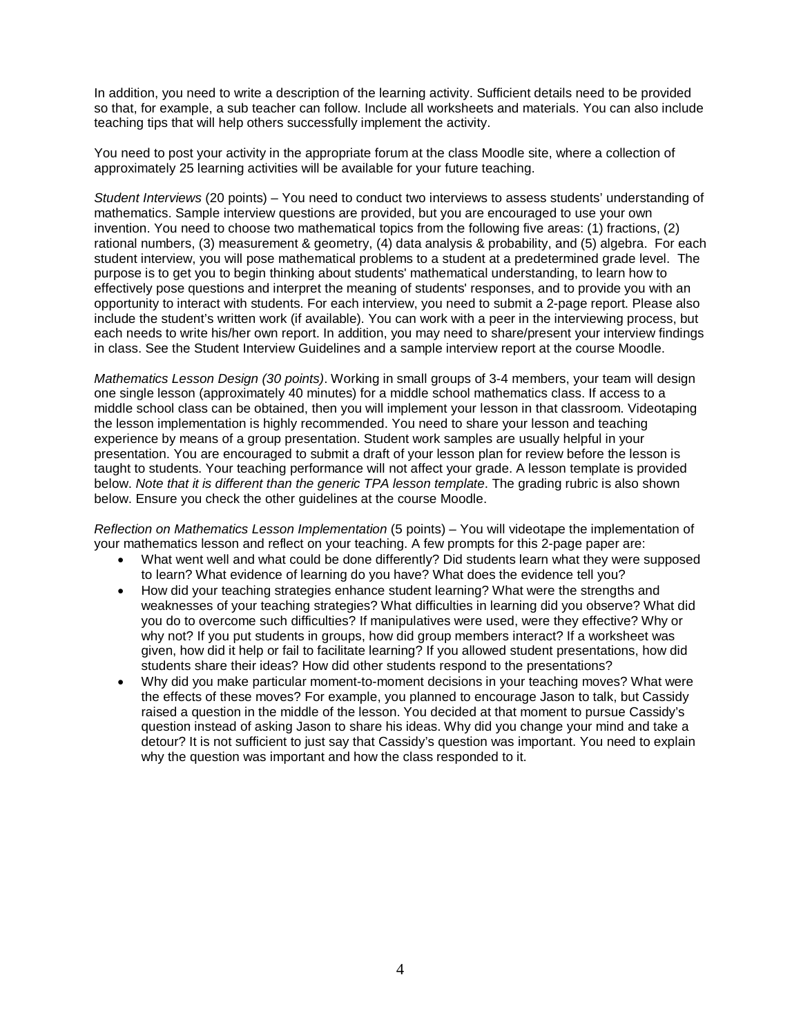In addition, you need to write a description of the learning activity. Sufficient details need to be provided so that, for example, a sub teacher can follow. Include all worksheets and materials. You can also include teaching tips that will help others successfully implement the activity.

You need to post your activity in the appropriate forum at the class Moodle site, where a collection of approximately 25 learning activities will be available for your future teaching.

*Student Interviews* (20 points) – You need to conduct two interviews to assess students' understanding of mathematics. Sample interview questions are provided, but you are encouraged to use your own invention. You need to choose two mathematical topics from the following five areas: (1) fractions, (2) rational numbers, (3) measurement & geometry, (4) data analysis & probability, and (5) algebra. For each student interview, you will pose mathematical problems to a student at a predetermined grade level. The purpose is to get you to begin thinking about students' mathematical understanding, to learn how to effectively pose questions and interpret the meaning of students' responses, and to provide you with an opportunity to interact with students. For each interview, you need to submit a 2-page report. Please also include the student's written work (if available). You can work with a peer in the interviewing process, but each needs to write his/her own report. In addition, you may need to share/present your interview findings in class. See the Student Interview Guidelines and a sample interview report at the course Moodle.

*Mathematics Lesson Design (30 points)*. Working in small groups of 3-4 members, your team will design one single lesson (approximately 40 minutes) for a middle school mathematics class. If access to a middle school class can be obtained, then you will implement your lesson in that classroom. Videotaping the lesson implementation is highly recommended. You need to share your lesson and teaching experience by means of a group presentation. Student work samples are usually helpful in your presentation. You are encouraged to submit a draft of your lesson plan for review before the lesson is taught to students. Your teaching performance will not affect your grade. A lesson template is provided below. *Note that it is different than the generic TPA lesson template*. The grading rubric is also shown below. Ensure you check the other guidelines at the course Moodle.

*Reflection on Mathematics Lesson Implementation* (5 points) – You will videotape the implementation of your mathematics lesson and reflect on your teaching. A few prompts for this 2-page paper are:

- What went well and what could be done differently? Did students learn what they were supposed to learn? What evidence of learning do you have? What does the evidence tell you?
- How did your teaching strategies enhance student learning? What were the strengths and weaknesses of your teaching strategies? What difficulties in learning did you observe? What did you do to overcome such difficulties? If manipulatives were used, were they effective? Why or why not? If you put students in groups, how did group members interact? If a worksheet was given, how did it help or fail to facilitate learning? If you allowed student presentations, how did students share their ideas? How did other students respond to the presentations?
- Why did you make particular moment-to-moment decisions in your teaching moves? What were the effects of these moves? For example, you planned to encourage Jason to talk, but Cassidy raised a question in the middle of the lesson. You decided at that moment to pursue Cassidy's question instead of asking Jason to share his ideas. Why did you change your mind and take a detour? It is not sufficient to just say that Cassidy's question was important. You need to explain why the question was important and how the class responded to it.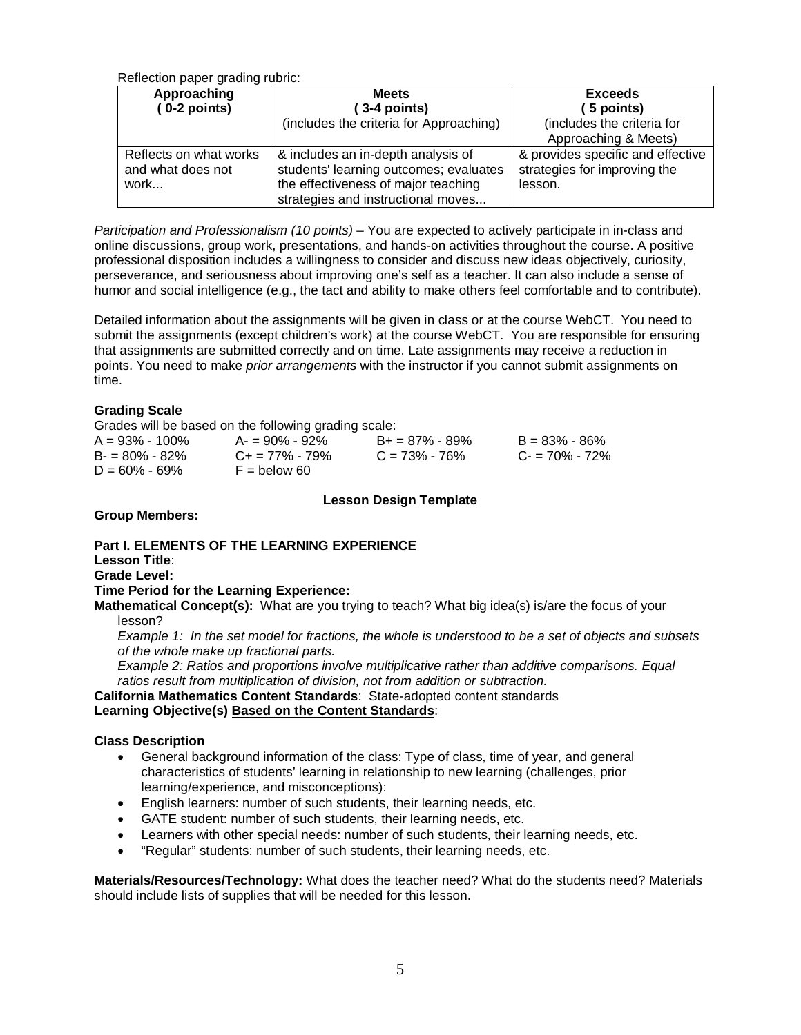Reflection paper grading rubric:

| Approaching                                         | <b>Meets</b>                                                                                                                                              | <b>Exceeds</b>                                                               |
|-----------------------------------------------------|-----------------------------------------------------------------------------------------------------------------------------------------------------------|------------------------------------------------------------------------------|
| $(0-2$ points)                                      | $(3-4$ points)                                                                                                                                            | 5 points)                                                                    |
|                                                     | (includes the criteria for Approaching)                                                                                                                   | (includes the criteria for<br>Approaching & Meets)                           |
| Reflects on what works<br>and what does not<br>work | & includes an in-depth analysis of<br>students' learning outcomes; evaluates<br>the effectiveness of major teaching<br>strategies and instructional moves | & provides specific and effective<br>strategies for improving the<br>lesson. |

*Participation and Professionalism (10 points)* – You are expected to actively participate in in-class and online discussions, group work, presentations, and hands-on activities throughout the course. A positive professional disposition includes a willingness to consider and discuss new ideas objectively, curiosity, perseverance, and seriousness about improving one's self as a teacher. It can also include a sense of humor and social intelligence (e.g., the tact and ability to make others feel comfortable and to contribute).

Detailed information about the assignments will be given in class or at the course WebCT. You need to submit the assignments (except children's work) at the course WebCT. You are responsible for ensuring that assignments are submitted correctly and on time. Late assignments may receive a reduction in points. You need to make *prior arrangements* with the instructor if you cannot submit assignments on time.

# **Grading Scale**

Grades will be based on the following grading scale:

| $A = 93\% - 100\%$ | $A = 90\% - 92\%$          | $B_+ = 87\% - 89\%$ | $B = 83\% - 86\%$ |
|--------------------|----------------------------|---------------------|-------------------|
| $B = 80\% - 82\%$  | $C_{\rm{+}} = 77\% - 79\%$ | $C = 73\% - 76\%$   | $C - 70\% - 72\%$ |
| $D = 60\% - 69\%$  | $F =$ below 60             |                     |                   |

# **Lesson Design Template**

#### **Group Members:**

# **Part I. ELEMENTS OF THE LEARNING EXPERIENCE**

**Lesson Title**: **Grade Level:**

# **Time Period for the Learning Experience:**

**Mathematical Concept(s):** What are you trying to teach? What big idea(s) is/are the focus of your lesson?

*Example 1: In the set model for fractions, the whole is understood to be a set of objects and subsets of the whole make up fractional parts.*

*Example 2: Ratios and proportions involve multiplicative rather than additive comparisons. Equal ratios result from multiplication of division, not from addition or subtraction.*

**California Mathematics Content Standards**: State-adopted content standards **Learning Objective(s) Based on the Content Standards**:

#### **Class Description**

- General background information of the class: Type of class, time of year, and general characteristics of students' learning in relationship to new learning (challenges, prior learning/experience, and misconceptions):
- English learners: number of such students, their learning needs, etc.
- GATE student: number of such students, their learning needs, etc.
- Learners with other special needs: number of such students, their learning needs, etc.
- "Regular" students: number of such students, their learning needs, etc.

**Materials/Resources/Technology:** What does the teacher need? What do the students need? Materials should include lists of supplies that will be needed for this lesson.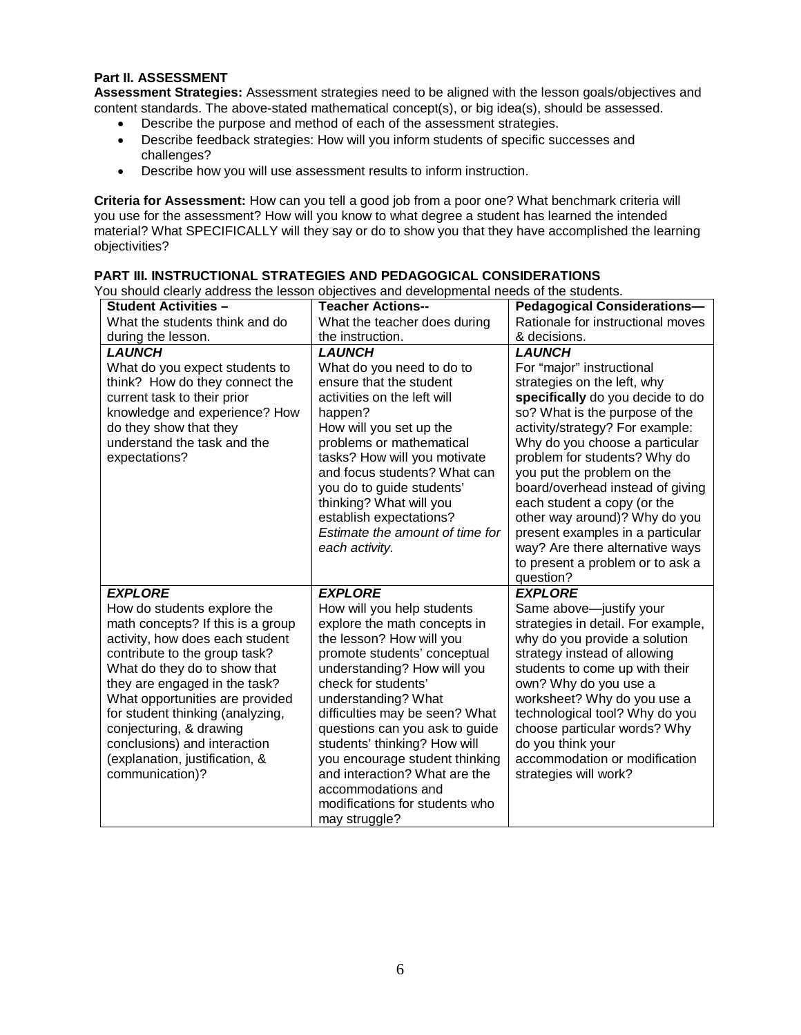#### **Part II. ASSESSMENT**

**Assessment Strategies:** Assessment strategies need to be aligned with the lesson goals/objectives and content standards. The above-stated mathematical concept(s), or big idea(s), should be assessed.

- Describe the purpose and method of each of the assessment strategies.
- Describe feedback strategies: How will you inform students of specific successes and challenges?
- Describe how you will use assessment results to inform instruction.

**Criteria for Assessment:** How can you tell a good job from a poor one? What benchmark criteria will you use for the assessment? How will you know to what degree a student has learned the intended material? What SPECIFICALLY will they say or do to show you that they have accomplished the learning objectivities?

| <b>Student Activities -</b>                                                                                                                                                                                                                                                                                                                                                                                    | <b>Teacher Actions--</b>                                                                                                                                                                                                                                                                                                                                                                                                                                              | <b>Pedagogical Considerations-</b>                                                                                                                                                                                                                                                                                                                                                                                                                                                                |
|----------------------------------------------------------------------------------------------------------------------------------------------------------------------------------------------------------------------------------------------------------------------------------------------------------------------------------------------------------------------------------------------------------------|-----------------------------------------------------------------------------------------------------------------------------------------------------------------------------------------------------------------------------------------------------------------------------------------------------------------------------------------------------------------------------------------------------------------------------------------------------------------------|---------------------------------------------------------------------------------------------------------------------------------------------------------------------------------------------------------------------------------------------------------------------------------------------------------------------------------------------------------------------------------------------------------------------------------------------------------------------------------------------------|
| What the students think and do                                                                                                                                                                                                                                                                                                                                                                                 | What the teacher does during                                                                                                                                                                                                                                                                                                                                                                                                                                          | Rationale for instructional moves                                                                                                                                                                                                                                                                                                                                                                                                                                                                 |
| during the lesson.                                                                                                                                                                                                                                                                                                                                                                                             | the instruction.                                                                                                                                                                                                                                                                                                                                                                                                                                                      | & decisions.                                                                                                                                                                                                                                                                                                                                                                                                                                                                                      |
| <b>LAUNCH</b><br>What do you expect students to<br>think? How do they connect the<br>current task to their prior<br>knowledge and experience? How<br>do they show that they<br>understand the task and the<br>expectations?                                                                                                                                                                                    | <b>LAUNCH</b><br>What do you need to do to<br>ensure that the student<br>activities on the left will<br>happen?<br>How will you set up the<br>problems or mathematical<br>tasks? How will you motivate<br>and focus students? What can<br>you do to guide students'<br>thinking? What will you<br>establish expectations?<br>Estimate the amount of time for<br>each activity.                                                                                        | <b>LAUNCH</b><br>For "major" instructional<br>strategies on the left, why<br>specifically do you decide to do<br>so? What is the purpose of the<br>activity/strategy? For example:<br>Why do you choose a particular<br>problem for students? Why do<br>you put the problem on the<br>board/overhead instead of giving<br>each student a copy (or the<br>other way around)? Why do you<br>present examples in a particular<br>way? Are there alternative ways<br>to present a problem or to ask a |
| <b>EXPLORE</b><br>How do students explore the<br>math concepts? If this is a group<br>activity, how does each student<br>contribute to the group task?<br>What do they do to show that<br>they are engaged in the task?<br>What opportunities are provided<br>for student thinking (analyzing,<br>conjecturing, & drawing<br>conclusions) and interaction<br>(explanation, justification, &<br>communication)? | <b>EXPLORE</b><br>How will you help students<br>explore the math concepts in<br>the lesson? How will you<br>promote students' conceptual<br>understanding? How will you<br>check for students'<br>understanding? What<br>difficulties may be seen? What<br>questions can you ask to guide<br>students' thinking? How will<br>you encourage student thinking<br>and interaction? What are the<br>accommodations and<br>modifications for students who<br>may struggle? | question?<br><b>EXPLORE</b><br>Same above-justify your<br>strategies in detail. For example,<br>why do you provide a solution<br>strategy instead of allowing<br>students to come up with their<br>own? Why do you use a<br>worksheet? Why do you use a<br>technological tool? Why do you<br>choose particular words? Why<br>do you think your<br>accommodation or modification<br>strategies will work?                                                                                          |

# **PART III. INSTRUCTIONAL STRATEGIES AND PEDAGOGICAL CONSIDERATIONS**

You should clearly address the lesson objectives and developmental needs of the students.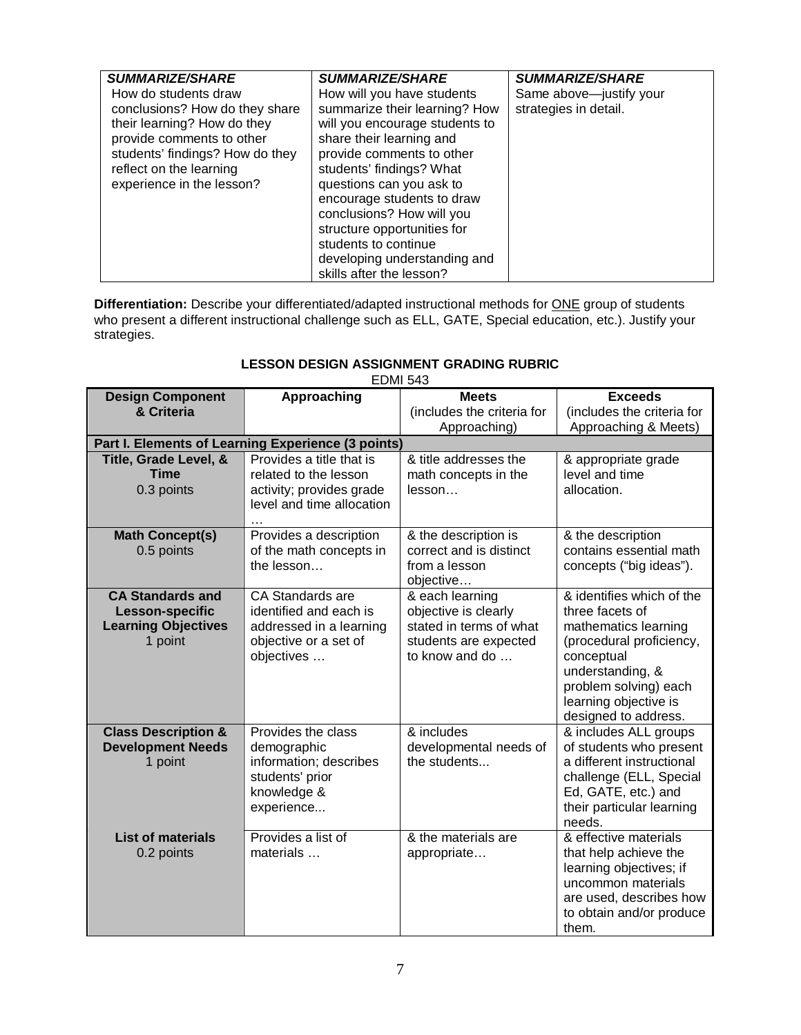| <b>SUMMARIZE/SHARE</b><br>How do students draw<br>conclusions? How do they share<br>their learning? How do they<br>provide comments to other<br>students' findings? How do they<br>reflect on the learning<br>experience in the lesson? | <b>SUMMARIZE/SHARE</b><br>How will you have students<br>summarize their learning? How<br>will you encourage students to<br>share their learning and<br>provide comments to other<br>students' findings? What<br>questions can you ask to<br>encourage students to draw | <b>SUMMARIZE/SHARE</b><br>Same above-justify your<br>strategies in detail. |
|-----------------------------------------------------------------------------------------------------------------------------------------------------------------------------------------------------------------------------------------|------------------------------------------------------------------------------------------------------------------------------------------------------------------------------------------------------------------------------------------------------------------------|----------------------------------------------------------------------------|
|                                                                                                                                                                                                                                         | conclusions? How will you<br>structure opportunities for<br>students to continue<br>developing understanding and<br>skills after the lesson?                                                                                                                           |                                                                            |

**Differentiation:** Describe your differentiated/adapted instructional methods for ONE group of students who present a different instructional challenge such as ELL, GATE, Special education, etc.). Justify your strategies.

#### **LESSON DESIGN ASSIGNMENT GRADING RUBRIC** EDMI 543

|                                |                                                    | ב+ט וועוש                  |                            |
|--------------------------------|----------------------------------------------------|----------------------------|----------------------------|
| <b>Design Component</b>        | Approaching                                        | <b>Meets</b>               | <b>Exceeds</b>             |
| & Criteria                     |                                                    | (includes the criteria for | (includes the criteria for |
|                                |                                                    | Approaching)               | Approaching & Meets)       |
|                                | Part I. Elements of Learning Experience (3 points) |                            |                            |
| Title, Grade Level, &          | Provides a title that is                           | & title addresses the      | & appropriate grade        |
| <b>Time</b>                    | related to the lesson                              | math concepts in the       | level and time             |
| 0.3 points                     | activity; provides grade                           | lesson                     | allocation.                |
|                                | level and time allocation                          |                            |                            |
|                                |                                                    |                            |                            |
| <b>Math Concept(s)</b>         | Provides a description                             | & the description is       | & the description          |
| 0.5 points                     | of the math concepts in                            | correct and is distinct    | contains essential math    |
|                                | the lesson                                         | from a lesson              | concepts ("big ideas").    |
|                                |                                                    | objective                  |                            |
| <b>CA Standards and</b>        | CA Standards are                                   | & each learning            | & identifies which of the  |
| Lesson-specific                | identified and each is                             | objective is clearly       | three facets of            |
| <b>Learning Objectives</b>     | addressed in a learning                            | stated in terms of what    | mathematics learning       |
| 1 point                        | objective or a set of                              | students are expected      | (procedural proficiency,   |
|                                | objectives                                         | to know and do             | conceptual                 |
|                                |                                                    |                            | understanding, &           |
|                                |                                                    |                            | problem solving) each      |
|                                |                                                    |                            | learning objective is      |
|                                |                                                    |                            | designed to address.       |
| <b>Class Description &amp;</b> | Provides the class                                 | & includes                 | & includes ALL groups      |
| <b>Development Needs</b>       | demographic                                        | developmental needs of     | of students who present    |
| 1 point                        | information; describes                             | the students               | a different instructional  |
|                                | students' prior                                    |                            | challenge (ELL, Special    |
|                                | knowledge &                                        |                            | Ed, GATE, etc.) and        |
|                                | experience                                         |                            | their particular learning  |
|                                |                                                    |                            | needs.                     |
| <b>List of materials</b>       | Provides a list of                                 | & the materials are        | & effective materials      |
| 0.2 points                     | materials                                          | appropriate                | that help achieve the      |
|                                |                                                    |                            | learning objectives; if    |
|                                |                                                    |                            | uncommon materials         |
|                                |                                                    |                            | are used, describes how    |
|                                |                                                    |                            | to obtain and/or produce   |
|                                |                                                    |                            | them.                      |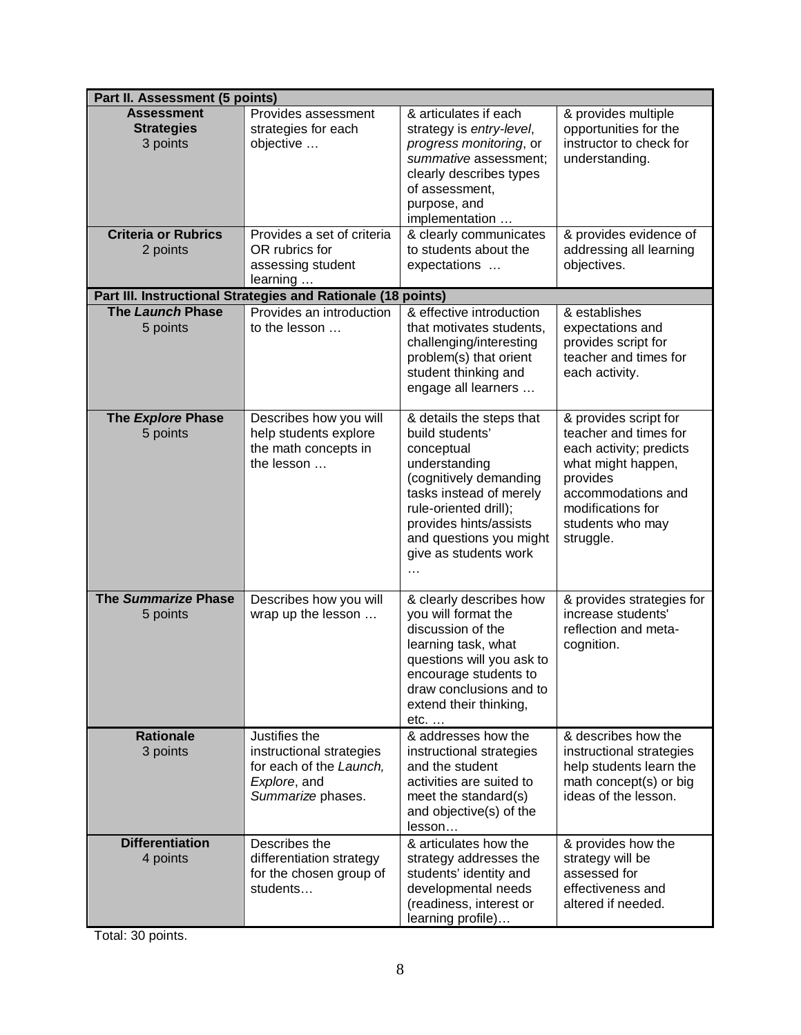| Part II. Assessment (5 points)                     |                                                                                                           |                                                                                                                                                                                                                                        |                                                                                                                                                                                         |  |
|----------------------------------------------------|-----------------------------------------------------------------------------------------------------------|----------------------------------------------------------------------------------------------------------------------------------------------------------------------------------------------------------------------------------------|-----------------------------------------------------------------------------------------------------------------------------------------------------------------------------------------|--|
| <b>Assessment</b><br><b>Strategies</b><br>3 points | Provides assessment<br>strategies for each<br>objective                                                   | & articulates if each<br>strategy is entry-level,<br>progress monitoring, or<br>summative assessment;<br>clearly describes types<br>of assessment,<br>purpose, and<br>implementation                                                   | & provides multiple<br>opportunities for the<br>instructor to check for<br>understanding.                                                                                               |  |
| <b>Criteria or Rubrics</b><br>2 points             | Provides a set of criteria<br>OR rubrics for<br>assessing student<br>learning                             | & clearly communicates<br>to students about the<br>expectations                                                                                                                                                                        | & provides evidence of<br>addressing all learning<br>objectives.                                                                                                                        |  |
|                                                    | Part III. Instructional Strategies and Rationale (18 points)                                              |                                                                                                                                                                                                                                        |                                                                                                                                                                                         |  |
| The Launch Phase<br>5 points                       | Provides an introduction<br>to the lesson                                                                 | & effective introduction<br>that motivates students,<br>challenging/interesting<br>problem(s) that orient<br>student thinking and<br>engage all learners                                                                               | & establishes<br>expectations and<br>provides script for<br>teacher and times for<br>each activity.                                                                                     |  |
| The Explore Phase<br>5 points                      | Describes how you will<br>help students explore<br>the math concepts in<br>the lesson                     | & details the steps that<br>build students'<br>conceptual<br>understanding<br>(cognitively demanding<br>tasks instead of merely<br>rule-oriented drill);<br>provides hints/assists<br>and questions you might<br>give as students work | & provides script for<br>teacher and times for<br>each activity; predicts<br>what might happen,<br>provides<br>accommodations and<br>modifications for<br>students who may<br>struggle. |  |
| The Summarize Phase<br>5 points                    | Describes how you will<br>wrap up the lesson                                                              | & clearly describes how<br>you will format the<br>discussion of the<br>learning task, what<br>questions will you ask to<br>encourage students to<br>draw conclusions and to<br>extend their thinking,<br>$etc. \ldots$                 | & provides strategies for<br>increase students'<br>reflection and meta-<br>cognition.                                                                                                   |  |
| <b>Rationale</b><br>3 points                       | Justifies the<br>instructional strategies<br>for each of the Launch,<br>Explore, and<br>Summarize phases. | & addresses how the<br>instructional strategies<br>and the student<br>activities are suited to<br>meet the standard(s)<br>and objective(s) of the<br>lesson                                                                            | & describes how the<br>instructional strategies<br>help students learn the<br>math concept(s) or big<br>ideas of the lesson.                                                            |  |
| <b>Differentiation</b><br>4 points                 | Describes the<br>differentiation strategy<br>for the chosen group of<br>students                          | & articulates how the<br>strategy addresses the<br>students' identity and<br>developmental needs<br>(readiness, interest or<br>learning profile)                                                                                       | & provides how the<br>strategy will be<br>assessed for<br>effectiveness and<br>altered if needed.                                                                                       |  |

Total: 30 points.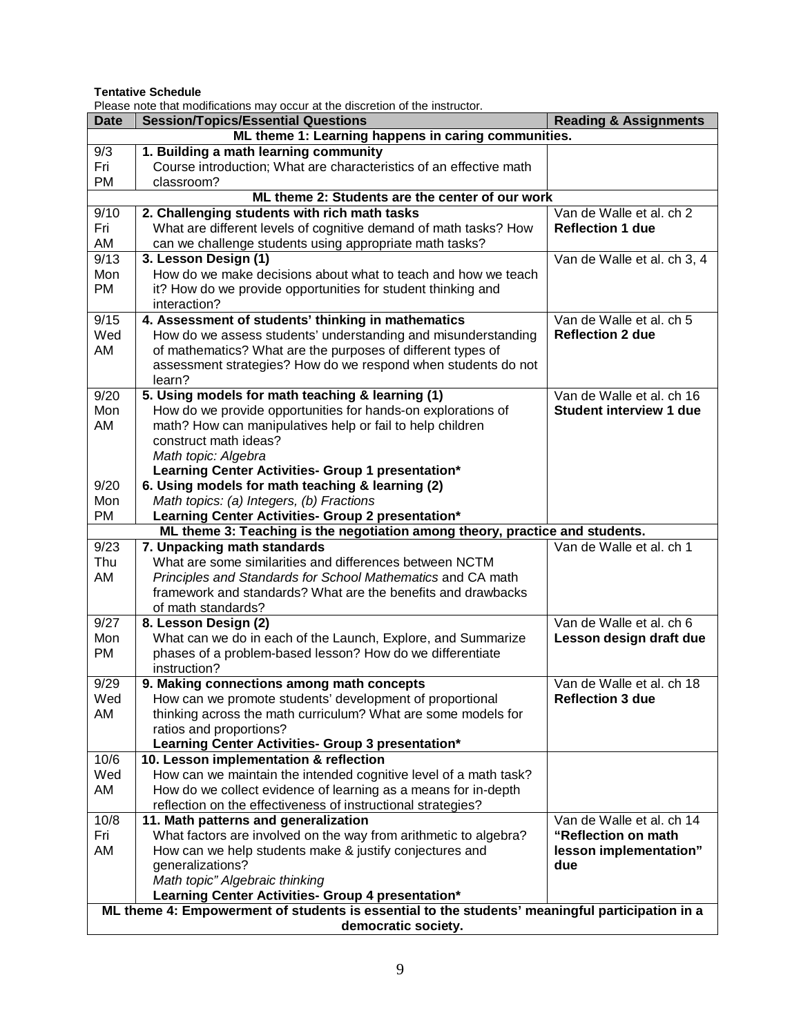**Tentative Schedule**

| Please note that modifications may occur at the discretion of the instructor.                   |                                                                                                                           |                                                      |  |  |
|-------------------------------------------------------------------------------------------------|---------------------------------------------------------------------------------------------------------------------------|------------------------------------------------------|--|--|
| <b>Date</b>                                                                                     | <b>Session/Topics/Essential Questions</b>                                                                                 | <b>Reading &amp; Assignments</b>                     |  |  |
|                                                                                                 | ML theme 1: Learning happens in caring communities.                                                                       |                                                      |  |  |
| 9/3                                                                                             | 1. Building a math learning community                                                                                     |                                                      |  |  |
| Fri                                                                                             | Course introduction; What are characteristics of an effective math                                                        |                                                      |  |  |
| <b>PM</b>                                                                                       | classroom?                                                                                                                |                                                      |  |  |
|                                                                                                 | ML theme 2: Students are the center of our work                                                                           |                                                      |  |  |
| 9/10                                                                                            | 2. Challenging students with rich math tasks                                                                              | Van de Walle et al. ch 2                             |  |  |
| Fri                                                                                             | What are different levels of cognitive demand of math tasks? How                                                          | <b>Reflection 1 due</b>                              |  |  |
| AM                                                                                              | can we challenge students using appropriate math tasks?                                                                   |                                                      |  |  |
| 9/13                                                                                            | 3. Lesson Design (1)                                                                                                      | Van de Walle et al. ch 3, 4                          |  |  |
| Mon                                                                                             | How do we make decisions about what to teach and how we teach                                                             |                                                      |  |  |
| <b>PM</b>                                                                                       | it? How do we provide opportunities for student thinking and                                                              |                                                      |  |  |
|                                                                                                 | interaction?                                                                                                              |                                                      |  |  |
| 9/15                                                                                            | 4. Assessment of students' thinking in mathematics                                                                        | Van de Walle et al. ch 5                             |  |  |
| Wed                                                                                             | How do we assess students' understanding and misunderstanding                                                             | <b>Reflection 2 due</b>                              |  |  |
| AM                                                                                              | of mathematics? What are the purposes of different types of                                                               |                                                      |  |  |
|                                                                                                 | assessment strategies? How do we respond when students do not                                                             |                                                      |  |  |
|                                                                                                 | learn?                                                                                                                    |                                                      |  |  |
| 9/20                                                                                            | 5. Using models for math teaching & learning (1)                                                                          | Van de Walle et al. ch 16                            |  |  |
| Mon                                                                                             | How do we provide opportunities for hands-on explorations of                                                              | <b>Student interview 1 due</b>                       |  |  |
| AM                                                                                              | math? How can manipulatives help or fail to help children                                                                 |                                                      |  |  |
|                                                                                                 | construct math ideas?                                                                                                     |                                                      |  |  |
|                                                                                                 | Math topic: Algebra                                                                                                       |                                                      |  |  |
|                                                                                                 | Learning Center Activities- Group 1 presentation*                                                                         |                                                      |  |  |
| 9/20                                                                                            | 6. Using models for math teaching & learning (2)                                                                          |                                                      |  |  |
| Mon                                                                                             | Math topics: (a) Integers, (b) Fractions                                                                                  |                                                      |  |  |
| PM                                                                                              | Learning Center Activities- Group 2 presentation*                                                                         |                                                      |  |  |
|                                                                                                 | ML theme 3: Teaching is the negotiation among theory, practice and students.                                              |                                                      |  |  |
| 9/23                                                                                            | 7. Unpacking math standards                                                                                               | Van de Walle et al. ch 1                             |  |  |
| Thu                                                                                             | What are some similarities and differences between NCTM                                                                   |                                                      |  |  |
| AM                                                                                              | Principles and Standards for School Mathematics and CA math                                                               |                                                      |  |  |
|                                                                                                 | framework and standards? What are the benefits and drawbacks                                                              |                                                      |  |  |
|                                                                                                 | of math standards?                                                                                                        |                                                      |  |  |
| 9/27                                                                                            | 8. Lesson Design (2)                                                                                                      | Van de Walle et al. ch 6                             |  |  |
| Mon                                                                                             | What can we do in each of the Launch, Explore, and Summarize                                                              | Lesson design draft due                              |  |  |
| <b>PM</b>                                                                                       | phases of a problem-based lesson? How do we differentiate                                                                 |                                                      |  |  |
|                                                                                                 | instruction?<br>9. Making connections among math concepts                                                                 |                                                      |  |  |
| 9/29                                                                                            |                                                                                                                           | Van de Walle et al. ch 18<br><b>Reflection 3 due</b> |  |  |
| Wed<br>AM                                                                                       | How can we promote students' development of proportional<br>thinking across the math curriculum? What are some models for |                                                      |  |  |
|                                                                                                 | ratios and proportions?                                                                                                   |                                                      |  |  |
|                                                                                                 | Learning Center Activities- Group 3 presentation*                                                                         |                                                      |  |  |
| 10/6                                                                                            | 10. Lesson implementation & reflection                                                                                    |                                                      |  |  |
| Wed                                                                                             | How can we maintain the intended cognitive level of a math task?                                                          |                                                      |  |  |
| AM                                                                                              | How do we collect evidence of learning as a means for in-depth                                                            |                                                      |  |  |
|                                                                                                 | reflection on the effectiveness of instructional strategies?                                                              |                                                      |  |  |
| 10/8                                                                                            | 11. Math patterns and generalization                                                                                      | Van de Walle et al. ch 14                            |  |  |
| Fri                                                                                             | What factors are involved on the way from arithmetic to algebra?                                                          | "Reflection on math                                  |  |  |
| AM                                                                                              | How can we help students make & justify conjectures and                                                                   | lesson implementation"                               |  |  |
|                                                                                                 | generalizations?                                                                                                          | due                                                  |  |  |
|                                                                                                 | Math topic" Algebraic thinking                                                                                            |                                                      |  |  |
|                                                                                                 | Learning Center Activities- Group 4 presentation*                                                                         |                                                      |  |  |
| ML theme 4: Empowerment of students is essential to the students' meaningful participation in a |                                                                                                                           |                                                      |  |  |
| democratic society.                                                                             |                                                                                                                           |                                                      |  |  |
|                                                                                                 |                                                                                                                           |                                                      |  |  |